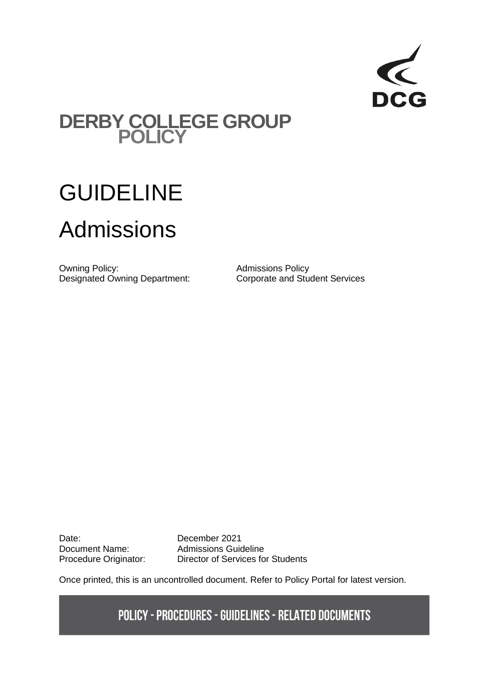

## **DERBY COLLEGE GROUP POLICY**

# GUIDELINE Admissions

Owning Policy:<br>
Designated Owning Department:<br>
Corporate and Student Services Designated Owning Department:

Date: December 2021

Document Name: Admissions Guideline Procedure Originator: Director of Services for Students

Once printed, this is an uncontrolled document. Refer to Policy Portal for latest version.

**POLICY - PROCEDURES - GUIDELINES - RELATED DOCUMENTS**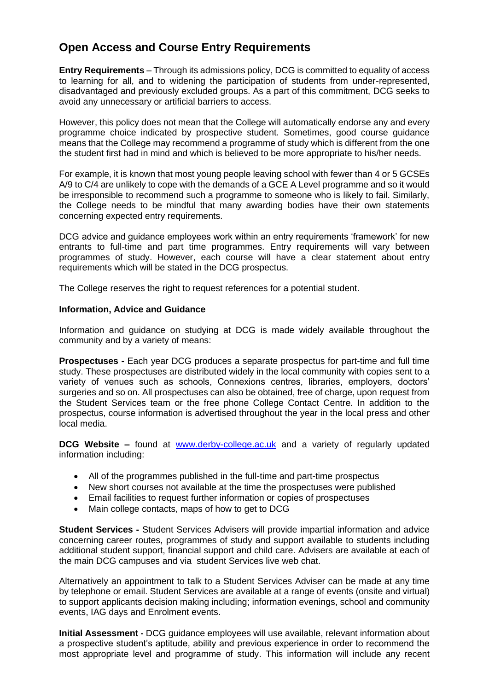### **Open Access and Course Entry Requirements**

**Entry Requirements** – Through its admissions policy, DCG is committed to equality of access to learning for all, and to widening the participation of students from under-represented, disadvantaged and previously excluded groups. As a part of this commitment, DCG seeks to avoid any unnecessary or artificial barriers to access.

However, this policy does not mean that the College will automatically endorse any and every programme choice indicated by prospective student. Sometimes, good course guidance means that the College may recommend a programme of study which is different from the one the student first had in mind and which is believed to be more appropriate to his/her needs.

For example, it is known that most young people leaving school with fewer than 4 or 5 GCSEs A/9 to C/4 are unlikely to cope with the demands of a GCE A Level programme and so it would be irresponsible to recommend such a programme to someone who is likely to fail. Similarly, the College needs to be mindful that many awarding bodies have their own statements concerning expected entry requirements.

DCG advice and guidance employees work within an entry requirements 'framework' for new entrants to full-time and part time programmes. Entry requirements will vary between programmes of study. However, each course will have a clear statement about entry requirements which will be stated in the DCG prospectus.

The College reserves the right to request references for a potential student.

#### **Information, Advice and Guidance**

Information and guidance on studying at DCG is made widely available throughout the community and by a variety of means:

**Prospectuses -** Each year DCG produces a separate prospectus for part-time and full time study. These prospectuses are distributed widely in the local community with copies sent to a variety of venues such as schools, Connexions centres, libraries, employers, doctors' surgeries and so on. All prospectuses can also be obtained, free of charge, upon request from the Student Services team or the free phone College Contact Centre. In addition to the prospectus, course information is advertised throughout the year in the local press and other local media.

**DCG Website –** found at [www.derby-college.ac.uk](http://www.derby-college.ac.uk/) and a variety of regularly updated information including:

- All of the programmes published in the full-time and part-time prospectus
- New short courses not available at the time the prospectuses were published
- Email facilities to request further information or copies of prospectuses
- Main college contacts, maps of how to get to DCG

**Student Services -** Student Services Advisers will provide impartial information and advice concerning career routes, programmes of study and support available to students including additional student support, financial support and child care. Advisers are available at each of the main DCG campuses and via student Services live web chat.

Alternatively an appointment to talk to a Student Services Adviser can be made at any time by telephone or email. Student Services are available at a range of events (onsite and virtual) to support applicants decision making including; information evenings, school and community events, IAG days and Enrolment events.

**Initial Assessment -** DCG guidance employees will use available, relevant information about a prospective student's aptitude, ability and previous experience in order to recommend the most appropriate level and programme of study. This information will include any recent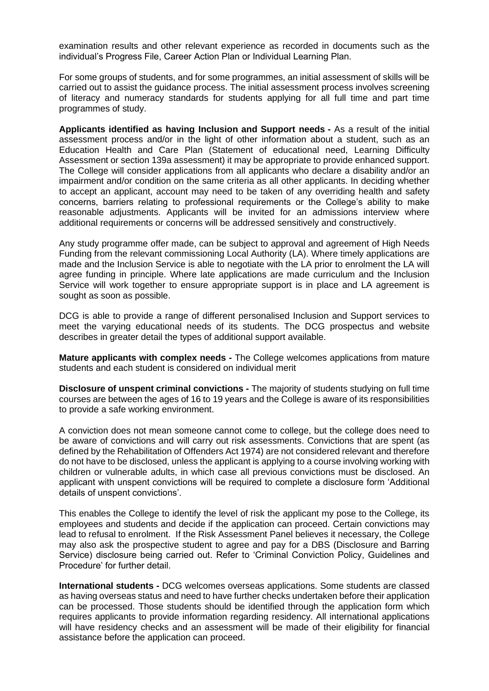examination results and other relevant experience as recorded in documents such as the individual's Progress File, Career Action Plan or Individual Learning Plan.

For some groups of students, and for some programmes, an initial assessment of skills will be carried out to assist the guidance process. The initial assessment process involves screening of literacy and numeracy standards for students applying for all full time and part time programmes of study.

**Applicants identified as having Inclusion and Support needs -** As a result of the initial assessment process and/or in the light of other information about a student, such as an Education Health and Care Plan (Statement of educational need, Learning Difficulty Assessment or section 139a assessment) it may be appropriate to provide enhanced support. The College will consider applications from all applicants who declare a disability and/or an impairment and/or condition on the same criteria as all other applicants. In deciding whether to accept an applicant, account may need to be taken of any overriding health and safety concerns, barriers relating to professional requirements or the College's ability to make reasonable adjustments. Applicants will be invited for an admissions interview where additional requirements or concerns will be addressed sensitively and constructively.

Any study programme offer made, can be subject to approval and agreement of High Needs Funding from the relevant commissioning Local Authority (LA). Where timely applications are made and the Inclusion Service is able to negotiate with the LA prior to enrolment the LA will agree funding in principle. Where late applications are made curriculum and the Inclusion Service will work together to ensure appropriate support is in place and LA agreement is sought as soon as possible.

DCG is able to provide a range of different personalised Inclusion and Support services to meet the varying educational needs of its students. The DCG prospectus and website describes in greater detail the types of additional support available.

**Mature applicants with complex needs -** The College welcomes applications from mature students and each student is considered on individual merit

**Disclosure of unspent criminal convictions -** The majority of students studying on full time courses are between the ages of 16 to 19 years and the College is aware of its responsibilities to provide a safe working environment.

A conviction does not mean someone cannot come to college, but the college does need to be aware of convictions and will carry out risk assessments. Convictions that are spent (as defined by the Rehabilitation of Offenders Act 1974) are not considered relevant and therefore do not have to be disclosed, unless the applicant is applying to a course involving working with children or vulnerable adults, in which case all previous convictions must be disclosed. An applicant with unspent convictions will be required to complete a disclosure form 'Additional details of unspent convictions'.

This enables the College to identify the level of risk the applicant my pose to the College, its employees and students and decide if the application can proceed. Certain convictions may lead to refusal to enrolment. If the Risk Assessment Panel believes it necessary, the College may also ask the prospective student to agree and pay for a DBS (Disclosure and Barring Service) disclosure being carried out. Refer to 'Criminal Conviction Policy, Guidelines and Procedure' for further detail.

**International students -** DCG welcomes overseas applications. Some students are classed as having overseas status and need to have further checks undertaken before their application can be processed. Those students should be identified through the application form which requires applicants to provide information regarding residency. All international applications will have residency checks and an assessment will be made of their eligibility for financial assistance before the application can proceed.